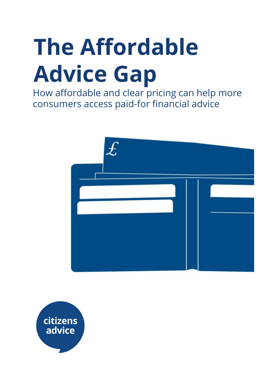# **The Affordable Advice Gap**

How affordable and clear pricing can help more consumers access paid-for financial advice



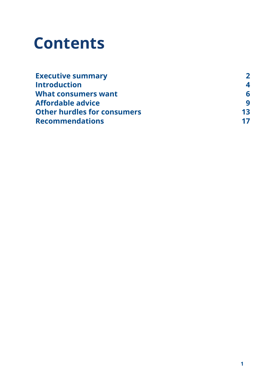## **Contents**

| <b>Executive summary</b>           | $\mathbf{z}$ |
|------------------------------------|--------------|
| <b>Introduction</b>                | 4            |
| What consumers want                | 6            |
| <b>Affordable advice</b>           | q            |
| <b>Other hurdles for consumers</b> | 13           |
| <b>Recommendations</b>             | 17           |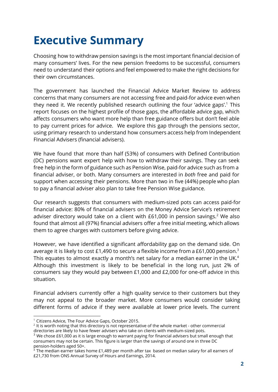### **Executive Summary**

Choosing how to withdraw pension savings is the most important financial decision of many consumers' lives. For the new pension freedoms to be successful, consumers need to understand their options and feel empowered to make the right decisions for their own circumstances.

The government has launched the Financial Advice Market Review to address concerns that many consumers are not accessing free and paid-for advice even when they need it. We recently published research outlining the four 'advice gaps'.<sup>1</sup> This report focuses on the highest profile of those gaps, the affordable advice gap, which affects consumers who want more help than free guidance offers but don't feel able to pay current prices for advice. We explore this gap through the pensions sector, using primary research to understand how consumers access help from Independent FInancial Advisers (financial advisers).

We have found that more than half (53%) of consumers with Defined Contribution (DC) pensions want expert help with how to withdraw their savings. They can seek free help in the form of guidance such as Pension Wise, paid-for advice such as from a financial adviser, or both. Many consumers are interested in *both* free and paid for support when accessing their pensions. More than two in five (44%) people who plan to pay a financial adviser also plan to take free Pension Wise guidance.

Our research suggests that consumers with medium-sized pots can access paid-for financial advice: 80% of financial advisers on the Money Advice Service's retirement adviser directory would take on a client with  $£61,000$  in pension savings.<sup>2</sup> We also found that almost all (97%) financial advisers offer a free initial meeting, which allows them to agree charges with customers before giving advice.

However, we have identified a significant affordability gap on the demand side. On average it is likely to cost £1,490 to secure a flexible income from a £61,000 pension.<sup>3</sup> This equates to almost exactly a month's net salary for a median earner in the UK. $^4$ Although this investment is likely to be beneficial in the long run, just 2% of consumers say they would pay between £1,000 and £2,000 for one-off advice in this situation.

Financial advisers currently offer a high quality service to their customers but they may not appeal to the broader market. More consumers would consider taking different forms of advice if they were available at lower price levels. The current

<sup>&</sup>lt;sup>1</sup> Citizens Advice, The Four Advice Gaps, October 2015.

 $2$  It is worth noting that this directory is not representative of the whole market - other commercial directories are likely to have fewer advisers who take on clients with medium-sized pots.

<sup>&</sup>lt;sup>3</sup> We chose £61,000 as it is large enough to warrant paying for financial advisers but small enough that consumers may not be certain. This figure is larger than the savings of around one in three DC pension-holders aged 50+.

 $4$  The median earner takes home £1,489 per month after tax based on median salary for all earners of £21,730 from ONS Annual Survey of Hours and Earnings, 2014.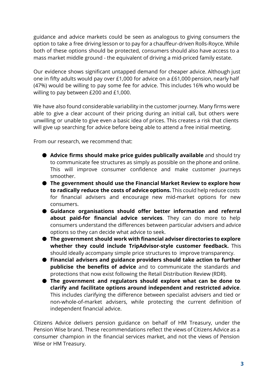guidance and advice markets could be seen as analogous to giving consumers the option to take a free driving lesson or to pay for a chauffeur-driven Rolls-Royce. While both of these options should be protected, consumers should also have access to a mass market middle ground - the equivalent of driving a mid-priced family estate.

Our evidence shows significant untapped demand for cheaper advice. Although just one in fifty adults would pay over £1,000 for advice on a £61,000 pension, nearly half (47%) would be willing to pay some fee for advice. This includes 16% who would be willing to pay between £200 and £1,000.

We have also found considerable variability in the customer journey. Many firms were able to give a clear account of their pricing during an initial call, but others were unwilling or unable to give even a basic idea of prices. This creates a risk that clients will give up searching for advice before being able to attend a free initial meeting.

From our research, we recommend that:

- **Advice firms should make price guides publically available** and should try to communicate fee structures as simply as possible on the phone and online. This will improve consumer confidence and make customer journeys smoother.
- **The government should use the Financial Market Review to explore how to radically reduce the costs of advice options.** This could help reduce costs for financial advisers and encourage new mid-market options for new consumers.
- **Guidance organisations should offer better information and referral about paid-for financial advice services**. They can do more to help consumers understand the differences between particular advisers and advice options so they can decide what advice to seek.
- **The government should work with financial adviser directories to explore whether they could include TripAdvisor-style customer feedback.** This should ideally accompany simple price structures to improve transparency.
- **Financial advisers and guidance providers should take action to further publicise the benefits of advice** and to communicate the standards and protections that now exist following the Retail Distribution Review (RDR).
- **The government and regulators should explore what can be done to clarify and facilitate options around independent and restricted advice**. This includes clarifying the difference between specialist advisers and tied or non-whole-of-market advisers, while protecting the current definition of independent financial advice.

Citizens Advice delivers pension guidance on behalf of HM Treasury, under the Pension Wise brand. These recommendations reflect the views of Citizens Advice as a consumer champion in the financial services market, and not the views of Pension Wise or HM Treasury.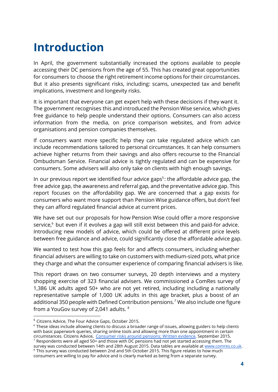### **Introduction**

In April, the government substantially increased the options available to people accessing their DC pensions from the age of 55. This has created great opportunities for consumers to choose the right retirement income options for their circumstances. But it also presents significant risks, including: scams, unexpected tax and benefit implications, investment and longevity risks.

It is important that everyone can get expert help with these decisions if they want it. The government recognises this and introduced the Pension Wise service, which gives free guidance to help people understand their options. Consumers can also access information from the media, on price comparison websites, and from advice organisations and pension companies themselves.

If consumers want more specific help they can take regulated advice which can include recommendations tailored to personal circumstances. It can help consumers achieve higher returns from their savings and also offers recourse to the FInancial Ombudsman Service. Financial advice is tightly regulated and can be expensive for consumers. Some advisers will also only take on clients with high enough savings.

In our previous report we identified four advice gaps<sup>5</sup>: the affordable advice gap, the free advice gap, the awareness and referral gap, and the preventative advice gap. This report focuses on the affordability gap. We are concerned that a gap exists for consumers who want more support than Pension Wise guidance offers, but don't feel they can afford regulated financial advice at current prices.

We have set out our proposals for how Pension Wise could offer a more responsive service, $6$  but even if it evolves a gap will still exist between this and paid-for advice. Introducing new models of advice, which could be offered at different price levels between free guidance and advice, could significantly close the affordable advice gap.

We wanted to test how this gap feels for and affects consumers, including whether financial advisers are willing to take on customers with medium-sized pots, what price they charge and what the consumer experience of comparing financial advisers is like.

This report draws on two consumer surveys, 20 depth interviews and a mystery shopping exercise of 323 financial advisers. We commissioned a ComRes survey of 1,386 UK adults aged 50+ who are not yet retired, including including a nationally representative sample of 1,000 UK adults in this age bracket, plus a boost of an additional 350 people with Defined Contribution pensions.<sup>7</sup> We also include one figure from a YouGov survey of 2,041 adults. <sup>8</sup>

<sup>5</sup> Citizens Advice, The Four Advice Gaps, October 2015.

<sup>&</sup>lt;sup>6</sup> These ideas include allowing clients to discuss a broader range of issues, allowing guiders to help clients with basic paperwork queries, sharing online tools and allowing more than one appointment in certain circumstances. Citizens Advice, [Consumer](https://www.citizensadvice.org.uk/about-us/policy/policy-research-topics/pensions-policy-research-surveys-and-consultation-responses/pensions-surveys-and-consultation-responses/consumer-risks-around-pensions-written-evidence-submitted-by-citizens-advice-to-the-work-and-pensions-select-committee/) risks around pensions: Written evidence, September 2015.

 $7$  Respondents were all aged 50+ and those with DC pensions had not yet started accessing them. The survey was conducted between 14th and 28th August 2015. Data tables are available at [www.comres.co.uk.](http://www.comres.co.uk/) <sup>8</sup> This survey was conducted between 2nd and 5th October 2015. This figure relates to how much consumers are willing to pay for advice and is clearly marked as being from a separate survey.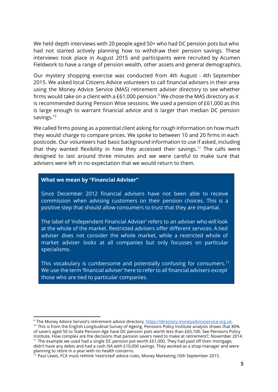We held depth interviews with 20 people aged 50+ who had DC pension pots but who had not started actively planning how to withdraw their pension savings. These interviews took place in August 2015 and participants were recruited by Acumen Fieldwork to have a range of pension wealth, other assets and general demographics.

Our mystery shopping exercise was conducted from 4th August - 4th September 2015. We asked local Citizens Advice volunteers to call financial advisers in their area using the Money Advice Service (MAS) retirement adviser directory to see whether firms would take on a client with a £61,000 pension. $^9$  We chose the MAS directory as it is recommended during Pension Wise sessions. We used a pension of £61,000 as this is large enough to warrant financial advice and is larger than median DC pension savings. $^{10}$ 

We called firms posing as a potential client asking for rough information on how much they would charge to compare prices. We spoke to between 10 and 20 firms in each postcode. Our volunteers had basic background information to use if asked, including that they wanted flexibility in how they accessed their savings. $11$  The calls were designed to last around three minutes and we were careful to make sure that advisers were left in no expectation that we would return to them.

#### **What we mean by "Financial Adviser"**

Since December 2012 financial advisers have not been able to receive commission when advising customers on their pension choices. This is a positive step that should allow consumers to trust that they are impartial.

The label of 'Independent Financial Adviser' refers to an adviser who will look at the whole of the market. Restricted advisers offer different services. A tied adviser does not consider the whole market, while a restricted whole of market adviser looks at all companies but only focusses on particular specialisms.

This vocabulary is cumbersome and potentially confusing for consumers. $^{\rm 12}$ We use the term 'financial adviser' here to refer to all financial advisers except those who are tied to particular companies.

<sup>11</sup> The example we used had a single DC pension pot worth  $E61,000$ . They had paid off their mortgage, didn't have any debts and had a cash ISA with £10,000 savings. They worked as a shop manager and were planning to retire in a year with no health concerns.

<sup>&</sup>lt;sup>9</sup> The Money Advice Service's retirement advice directory, [https://directory.moneyadviceservice.org.uk.](https://directory.moneyadviceservice.org.uk/)

<sup>&</sup>lt;sup>10</sup> This is from the English Longitudinal Survey of Ageing. Pensions Policy Institute analysis shows that 80% of savers aged 50 to State Pension Age have DC pension pots worth less than £65,100. See Pensions Policy Institute, How complex are the decisions that pension savers need to make at retirement?, November 2014.

 $^{12}$  Paul Lewis, FCA must rethink 'restricted' advice rules, Money Marketing,10th September 2015.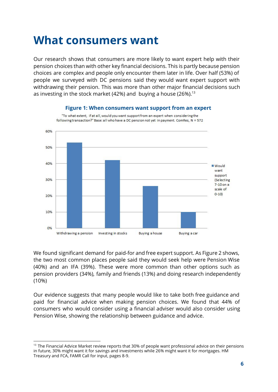### **What consumers want**

Our research shows that consumers are more likely to want expert help with their pension choices than with other key financial decisions. This is partly because pension choices are complex and people only encounter them later in life. Over half (53%) of people we surveyed with DC pensions said they would want expert support with withdrawing their pension. This was more than other major financial decisions such as investing in the stock market (42%) and buying a house (26%).<sup>13</sup>



We found significant demand for paid-for and free expert support. As Figure 2 shows, the two most common places people said they would seek help were Pension Wise (40%) and an IFA (39%). These were more common than other options such as pension providers (34%), family and friends (13%) and doing research independently (10%)

Our evidence suggests that many people would like to take both free guidance and paid for financial advice when making pension choices. We found that 44% of consumers who would consider using a financial adviser would also consider using Pension Wise, showing the relationship between guidance and advice.

<sup>&</sup>lt;sup>13</sup> The Financial Advice Market review reports that 30% of people want professional advice on their pensions in future, 30% might want it for savings and investments while 26% might want it for mortgages. HM Treasury and FCA, FAMR Call for input, pages 8-9.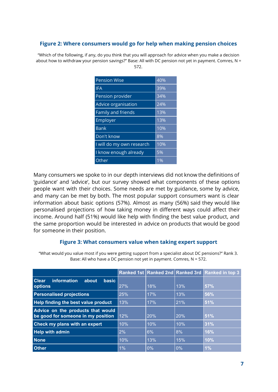#### **Figure 2: Where consumers would go for help when making pension choices**

"Which of the following, if any, do you think that you will approach for advice when you make a decision about how to withdraw your pension savings?" Base: All with DC pension not yet in payment. Comres, N = 572.

| <b>Pension Wise</b>       | 40% |
|---------------------------|-----|
| <b>IFA</b>                | 39% |
| Pension provider          | 34% |
| Advice organisation       | 24% |
| Family and friends        | 13% |
| Employer                  | 13% |
| <b>Bank</b>               | 10% |
| Don't know                | 8%  |
| I will do my own research | 10% |
| I know enough already     | 5%  |
| Other                     | 1%  |

Many consumers we spoke to in our depth interviews did not know the definitions of 'guidance' and 'advice', but our survey showed what components of these options people want with their choices. Some needs are met by guidance, some by advice, and many can be met by both. The most popular support consumers want is clear information about basic options (57%). Almost as many (56%) said they would like personalised projections of how taking money in different ways could affect their income. Around half (51%) would like help with finding the best value product, and the same proportion would be interested in advice on products that would be good for someone in their position.

#### **Figure 3: What consumers value when taking expert support**

"What would you value most if you were getting support from a specialist about DC pensions?" Rank 3. Base: All who have a DC pension not yet in payment. Comres, N = 572.

|                                                                         |     |     |     | Ranked 1st Ranked 2nd Ranked 3rd Ranked in top 3 |
|-------------------------------------------------------------------------|-----|-----|-----|--------------------------------------------------|
| <b>Clear</b><br>information<br>about<br><b>basic</b>                    |     |     |     |                                                  |
| options                                                                 | 27% | 18% | 13% | 57%                                              |
| <b>Personalised projections</b>                                         | 25% | 17% | 13% | 56%                                              |
| Help finding the best value product                                     | 13% | 17% | 21% | 51%                                              |
| Advice on the products that would<br>be good for someone in my position | 12% | 20% | 20% | 51%                                              |
| Check my plans with an expert                                           | 10% | 10% | 10% | 31%                                              |
| <b>Help with admin</b>                                                  | 2%  | 6%  | 8%  | <b>16%</b>                                       |
| <b>None</b>                                                             | 10% | 13% | 15% | 10%                                              |
| <b>Other</b>                                                            | 1%  | 0%  | 0%  | 1%                                               |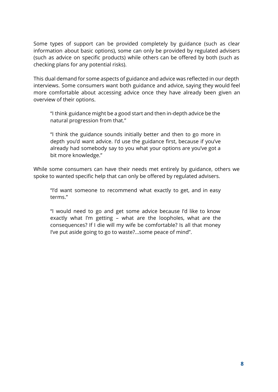Some types of support can be provided completely by guidance (such as clear information about basic options), some can only be provided by regulated advisers (such as advice on specific products) while others can be offered by both (such as checking plans for any potential risks).

This dual demand for some aspects of guidance and advice was reflected in our depth interviews. Some consumers want both guidance and advice, saying they would feel more comfortable about accessing advice once they have already been given an overview of their options.

"I think guidance might be a good start and then in-depth advice be the natural progression from that."

"I think the guidance sounds initially better and then to go more in depth you'd want advice. I'd use the guidance first, because if you've already had somebody say to you what your options are you've got a bit more knowledge."

While some consumers can have their needs met entirely by guidance, others we spoke to wanted specific help that can only be offered by regulated advisers.

"I'd want someone to recommend what exactly to get, and in easy terms."

"I would need to go and get some advice because I'd like to know exactly what I'm getting – what are the loopholes, what are the consequences? If I die will my wife be comfortable? Is all that money I've put aside going to go to waste?...some peace of mind".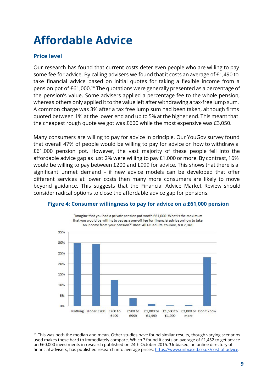### **Affordable Advice**

#### **Price level**

Our research has found that current costs deter even people who are willing to pay some fee for advice. By calling advisers we found that it costs an average of £1,490 to take financial advice based on initial quotes for taking a flexible income from a pension pot of  $£61,000.^{14}$  The quotations were generally presented as a percentage of the pension's value. Some advisers applied a percentage fee to the whole pension, whereas others only applied it to the value left after withdrawing a tax-free lump sum. A common charge was 3% after a tax free lump sum had been taken, although firms quoted between 1% at the lower end and up to 5% at the higher end. This meant that the cheapest rough quote we got was £600 while the most expensive was £3,050.

Many consumers are willing to pay for advice in principle. Our YouGov survey found that overall 47% of people would be willing to pay for advice on how to withdraw a £61,000 pension pot. However, the vast majority of these people fell into the affordable advice gap as just 2% were willing to pay £1,000 or more. By contrast, 16% would be willing to pay between £200 and £999 for advice. This shows that there is a significant unmet demand - if new advice models can be developed that offer different services at lower costs then many more consumers are likely to move beyond guidance. This suggests that the Financial Advice Market Review should consider radical options to close the affordable advice gap for pensions.



#### **Figure 4: Consumer willingness to pay for advice on a £61,000 pension**

<sup>&</sup>lt;sup>14</sup> This was both the median and mean. Other studies have found similar results, though varying scenarios used makes these hard to immediately compare. Which ? found it costs an average of £1,452 to get advice on £60,000 investments in research published on 24th October 2015. 'Unbiased, an online directory of financial advisers, has published research into average prices: [https://www.unbiased.co.uk/cost-of-advice.](https://www.unbiased.co.uk/cost-of-advice)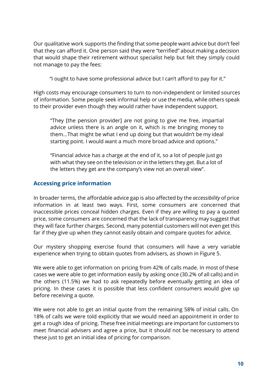Our qualitative work supports the finding that some people want advice but don't feel that they can afford it. One person said they were "terrified" about making a decision that would shape their retirement without specialist help but felt they simply could not manage to pay the fees:

"I ought to have some professional advice but I can't afford to pay for it."

High costs may encourage consumers to turn to non-independent or limited sources of information. Some people seek informal help or use the media, while others speak to their provider even though they would rather have independent support.

"They [the pension provider] are not going to give me free, impartial advice unless there is an angle on it, which is me bringing money to them...That might be what I end up doing but that wouldn't be my ideal starting point. I would want a much more broad advice and options."

"Financial advice has a charge at the end of it, so a lot of people just go with what they see on the television or in the letters they get. But a lot of the letters they get are the company's view not an overall view".

#### **Accessing price information**

In broader terms, the affordable advice gap is also affected by the *accessibility* of price information in at least two ways. First, some consumers are concerned that inaccessible prices conceal hidden charges. Even if they are willing to pay a quoted price, some consumers are concerned that the lack of transparency may suggest that they will face further charges. Second, many potential customers will not even get this far if they give up when they cannot easily obtain and compare quotes for advice.

Our mystery shopping exercise found that consumers will have a very variable experience when trying to obtain quotes from advisers, as shown in Figure 5.

We were able to get information on pricing from 42% of calls made. In most of these cases we were able to get information easily by asking once (30.2% of all calls) and in the others (11.5%) we had to ask repeatedly before eventually getting an idea of pricing. In these cases it is possible that less confident consumers would give up before receiving a quote.

We were not able to get an initial quote from the remaining 58% of initial calls. On 18% of calls we were told explicitly that we would need an appointment in order to get a rough idea of pricing. These free initial meetings are important for customers to meet financial advisers and agree a price, but it should not be necessary to attend these just to get an initial idea of pricing for comparison.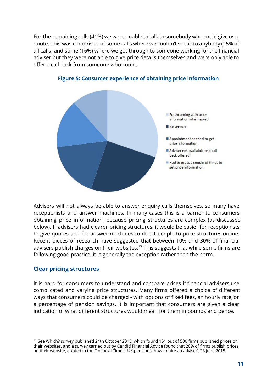For the remaining calls (41%) we were unable to talk to somebody who could give us a quote. This was comprised of some calls where we couldn't speak to anybody (25% of all calls) and some (16%) where we got through to someone working for the financial adviser but they were not able to give price details themselves and were only able to offer a call back from someone who could.



#### **Figure 5: Consumer experience of obtaining price information**

Advisers will not always be able to answer enquiry calls themselves, so many have receptionists and answer machines. In many cases this is a barrier to consumers obtaining price information, because pricing structures are complex (as discussed below). If advisers had clearer pricing structures, it would be easier for receptionists to give quotes and for answer machines to direct people to price structures online. Recent pieces of research have suggested that between 10% and 30% of financial advisers publish charges on their websites.<sup>15</sup> This suggests that while some firms are following good practice, it is generally the exception rather than the norm.

#### **Clear pricing structures**

It is hard for consumers to understand and compare prices if financial advisers use complicated and varying price structures. Many firms offered a choice of different ways that consumers could be charged - with options of fixed fees, an hourly rate, or a percentage of pension savings. It is important that consumers are given a clear indication of what different structures would mean for them in pounds and pence.

<sup>&</sup>lt;sup>15</sup> See Which? survey published 24th October 2015, which found 151 out of 500 firms published prices on their websites, and a survey carried out by Candid Financial Advice found that 20% of firms publish prices on their website, quoted in the Financial Times, 'UK pensions: how to hire an adviser', 23 June 2015.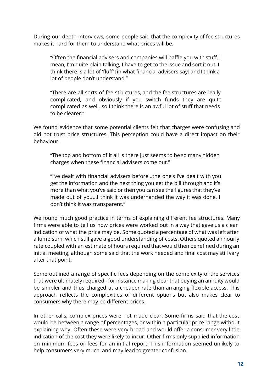During our depth interviews, some people said that the complexity of fee structures makes it hard for them to understand what prices will be.

"Often the financial advisers and companies will baffle you with stuff. I mean, I'm quite plain talking, I have to get to the issue and sort it out. I think there is a lot of 'fluff' [in what financial advisers say] and I think a lot of people don't understand."

"There are all sorts of fee structures, and the fee structures are really complicated, and obviously if you switch funds they are quite complicated as well, so I think there is an awful lot of stuff that needs to be clearer."

We found evidence that some potential clients felt that charges were confusing and did not trust price structures. This perception could have a direct impact on their behaviour.

"The top and bottom of it all is there just seems to be so many hidden charges when these financial advisers come out."

"I've dealt with financial advisers before...the one's I've dealt with you get the information and the next thing you get the bill through and it's more than what you've said or then you can see the figures that they've made out of you...I think it was underhanded the way it was done, I don't think it was transparent."

We found much good practice in terms of explaining different fee structures. Many firms were able to tell us how prices were worked out in a way that gave us a clear indication of what the price may be. Some quoted a percentage of what was left after a lump sum, which still gave a good understanding of costs. Others quoted an hourly rate coupled with an estimate of hours required that would then be refined during an initial meeting, although some said that the work needed and final cost may still vary after that point.

Some outlined a range of specific fees depending on the complexity of the services that were ultimately required - for instance making clear that buying an annuity would be simpler and thus charged at a cheaper rate than arranging flexible access. This approach reflects the complexities of different options but also makes clear to consumers why there may be different prices.

In other calls, complex prices were not made clear. Some firms said that the cost would be between a range of percentages, or within a particular price range without explaining why. Often these were very broad and would offer a consumer very little indication of the cost they were likely to incur. Other firms only supplied information on minimum fees or fees for an initial report. This information seemed unlikely to help consumers very much, and may lead to greater confusion.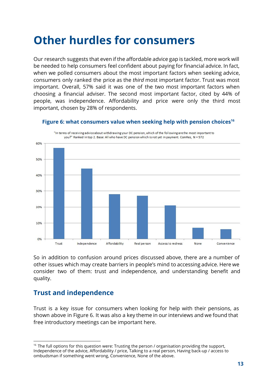### **Other hurdles for consumers**

Our research suggests that even if the affordable advice gap is tackled, more work will be needed to help consumers feel confident about paying for financial advice. In fact, when we polled consumers about the most important factors when seeking advice, consumers only ranked the price as the *third* most important factor. Trust was most important. Overall, 57% said it was one of the two most important factors when choosing a financial adviser. The second most important factor, cited by 44% of people, was independence. Affordability and price were only the third most important, chosen by 28% of respondents.



**Figure 6: what consumers value when seeking help with pension choices 16**

So in addition to confusion around prices discussed above, there are a number of other issues which may create barriers in people's mind to accessing advice. Here we consider two of them: trust and independence, and understanding benefit and quality.

#### **Trust and independence**

Trust is a key issue for consumers when looking for help with their pensions, as shown above in Figure 6. It was also a key theme in our interviews and we found that free introductory meetings can be important here.

 $16$  The full options for this question were: Trusting the person / organisation providing the support, Independence of the advice, Affordability / price, Talking to a real person, Having back-up / access to ombudsman if something went wrong, Convenience, None of the above.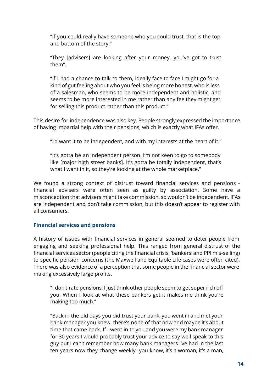"If you could really have someone who you could trust, that is the top and bottom of the story."

"They [advisers] are looking after your money, you've got to trust them".

"If I had a chance to talk to them, ideally face to face I might go for a kind of gut feeling about who you feel is being more honest, who is less of a salesman, who seems to be more independent and holistic, and seems to be more interested in me rather than any fee they might get for selling this product rather than this product."

This desire for independence was also key. People strongly expressed the importance of having impartial help with their pensions, which is exactly what IFAs offer.

"I'd want it to be independent, and with my interests at the heart of it."

"It's gotta be an independent person. I'm not keen to go to somebody like [major high street banks]. It's gotta be totally independent, that's what I want in it, so they're looking at the whole marketplace."

We found a strong context of distrust toward financial services and pensions financial advisers were often seen as guilty by association. Some have a misconception that advisers might take commission, so wouldn't be independent. IFAs are independent and don't take commission, but this doesn't appear to register with all consumers.

#### **Financial services and pensions**

A history of issues with financial services in general seemed to deter people from engaging and seeking professional help. This ranged from general distrust of the financial services sector (people citing the financial crisis, 'bankers' and PPI mis-selling) to specific pension concerns (the Maxwell and Equitable Life cases were often cited). There was also evidence of a perception that some people in the financial sector were making excessively large profits.

"I don't rate pensions, I just think other people seem to get super rich off you. When I look at what these bankers get it makes me think you're making too much."

"Back in the old days you did trust your bank, you went in and met your bank manager you knew, there's none of that now and maybe it's about time that came back. If I went in to you and you were my bank manager for 30 years I would probably trust your advice to say well speak to this guy but I can't remember how many bank managers I've had in the last ten years now they change weekly- you know, it's a woman, it's a man,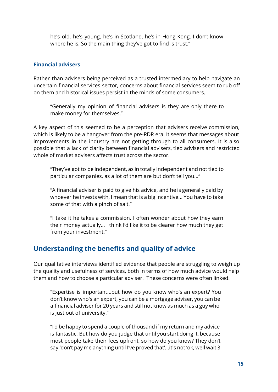he's old, he's young, he's in Scotland, he's in Hong Kong, I don't know where he is. So the main thing they've got to find is trust."

#### **Financial advisers**

Rather than advisers being perceived as a trusted intermediary to help navigate an uncertain financial services sector, concerns about financial services seem to rub off on them and historical issues persist in the minds of some consumers.

"Generally my opinion of financial advisers is they are only there to make money for themselves."

A key aspect of this seemed to be a perception that advisers receive commission, which is likely to be a hangover from the pre-RDR era. It seems that messages about improvements in the industry are not getting through to all consumers. It is also possible that a lack of clarity between financial advisers, tied advisers and restricted whole of market advisers affects trust across the sector.

"They've got to be independent, as in totally independent and not tied to particular companies, as a lot of them are but don't tell you..."

"A financial adviser is paid to give his advice, and he is generally paid by whoever he invests with, I mean that is a big incentive... You have to take some of that with a pinch of salt."

"I take it he takes a commission. I often wonder about how they earn their money actually... I think I'd like it to be clearer how much they get from your investment."

#### **Understanding the benefits and quality of advice**

Our qualitative interviews identified evidence that people are struggling to weigh up the quality and usefulness of services, both in terms of how much advice would help them and how to choose a particular adviser. These concerns were often linked.

"Expertise is important...but how do you know who's an expert? You don't know who's an expert, you can be a mortgage adviser, you can be a financial adviser for 20 years and still not know as much as a guy who is just out of university."

"I'd be happy to spend a couple of thousand if my return and my advice is fantastic. But how do you judge that until you start doing it, because most people take their fees upfront, so how do you know? They don't say 'don't pay me anything until I've proved that'...it's not 'ok, well wait 3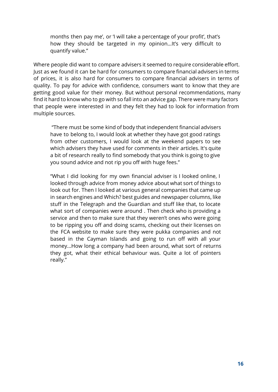months then pay me', or 'I will take a percentage of your profit', that's how they should be targeted in my opinion…It's very difficult to quantify value."

Where people did want to compare advisers it seemed to require considerable effort. Just as we found it can be hard for consumers to compare financial advisers in terms of prices, it is also hard for consumers to compare financial advisers in terms of quality. To pay for advice with confidence, consumers want to know that they are getting good value for their money. But without personal recommendations, many find it hard to know who to go with so fall into an advice gap. There were many factors that people were interested in and they felt they had to look for information from multiple sources.

"There must be some kind of body that independent financial advisers have to belong to, I would look at whether they have got good ratings from other customers, I would look at the weekend papers to see which advisers they have used for comments in their articles. It's quite a bit of research really to find somebody that you think is going to give you sound advice and not rip you off with huge fees."

"What I did looking for my own financial adviser is I looked online, I looked through advice from money advice about what sort of things to look out for. Then I looked at various general companies that came up in search engines and Which? best guides and newspaper columns, like stuff in the Telegraph and the Guardian and stuff like that, to locate what sort of companies were around . Then check who is providing a service and then to make sure that they weren't ones who were going to be ripping you off and doing scams, checking out their licenses on the FCA website to make sure they were pukka companies and not based in the Cayman Islands and going to run off with all your money...How long a company had been around, what sort of returns they got, what their ethical behaviour was. Quite a lot of pointers really."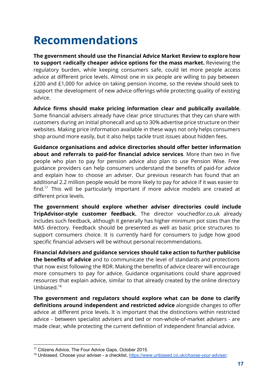### **Recommendations**

**The government should use the Financial Advice Market Review to explore how to support radically cheaper advice options for the mass market.** Reviewing the regulatory burden, while keeping consumers safe, could let more people access advice at different price levels. Almost one in six people are willing to pay between £200 and £1,000 for advice on taking pension income, so the review should seek to support the development of new advice offerings while protecting quality of existing advice.

**Advice firms should make pricing information clear and publically available**. Some financial advisers already have clear price structures that they can share with customers during an initial phonecall and up to 30% advertise price structure on their websites. Making price information available in these ways not only helps consumers shop around more easily, but it also helps tackle trust issues about hidden fees.

**Guidance organisations and advice directories should offer better information about and referrals to paid-for financial advice services**. More than two in five people who plan to pay for pension advice also plan to use Pension Wise. Free guidance providers can help consumers understand the benefits of paid-for advice and explain how to choose an adviser. Our previous research has found that an additional 2.2 million people would be more likely to pay for advice if it was easier to find.<sup>17</sup> This will be particularly important if more advice models are created at different price levels.

**The government should explore whether adviser directories could include TripAdvisor-style customer feedback.** The director vouchedfor.co.uk already includes such feedback, although it generally has higher minimum pot sizes than the MAS directory. Feedback should be presented as well as basic price structures to support consumers choice. It is currently hard for consumers to judge how good specific financial advisers will be without personal recommendations.

**Financial Advisers and guidance services should take action to further publicise the benefits of advice** and to communicate the level of standards and protections that now exist following the RDR. Making the benefits of advice clearer will encourage more consumers to pay for advice. Guidance organisations could share approved resources that explain advice, similar to that already created by the online directory Unbiased. 18

**The government and regulators should explore what can be done to clarify definitions around independent and restricted advice** alongside changes to offer advice at different price levels. It is important that the distinctions within restricted advice - between specialist advisers and tied or non-whole-of-market advisers - are made clear, while protecting the current definition of independent financial advice.

<sup>&</sup>lt;sup>17</sup> Citizens Advice, The Four Advice Gaps, October 2015.

<sup>&</sup>lt;sup>18</sup> Unbiased, Choose your adviser - a checklist, https://www.unbiased.co.uk/choose-your-adviser.